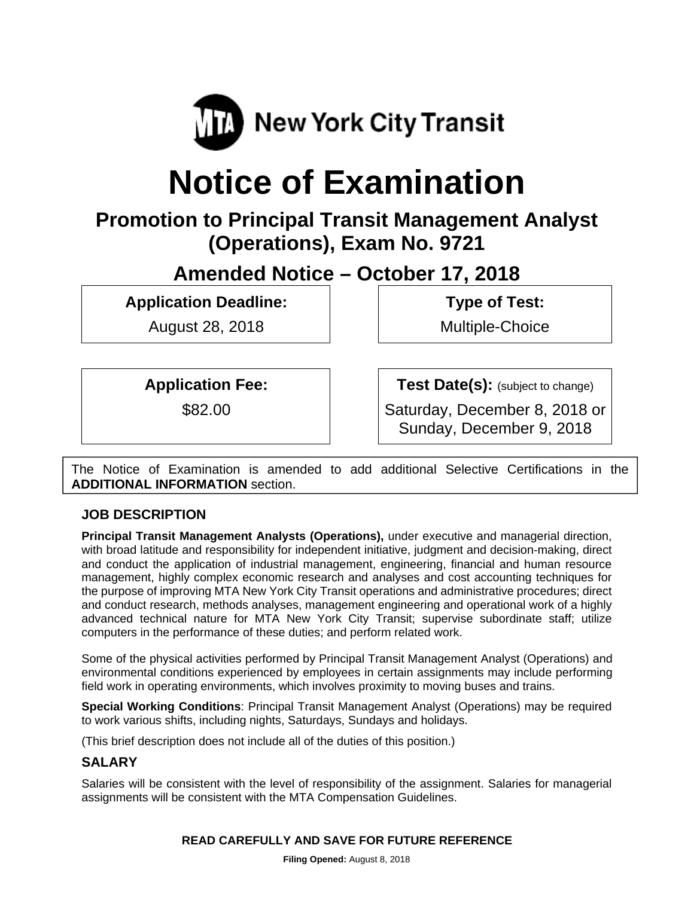

# **Notice of Examination**

# **Promotion to Principal Transit Management Analyst (Operations), Exam No. 9721**

**Amended Notice – October 17, 2018** 

**Application Deadline:** 

August 28, 2018

 **Type of Test:** 

Multiple-Choice

**Application Fee:** 

\$82.00

**Test Date(s):** (subject to change)

Saturday, December 8, 2018 or Sunday, December 9, 2018

The Notice of Examination is amended to add additional Selective Certifications in the **ADDITIONAL INFORMATION** section.

# **JOB DESCRIPTION**

**Principal Transit Management Analysts (Operations),** under executive and managerial direction, with broad latitude and responsibility for independent initiative, judgment and decision-making, direct and conduct the application of industrial management, engineering, financial and human resource management, highly complex economic research and analyses and cost accounting techniques for the purpose of improving MTA New York City Transit operations and administrative procedures; direct and conduct research, methods analyses, management engineering and operational work of a highly advanced technical nature for MTA New York City Transit; supervise subordinate staff; utilize computers in the performance of these duties; and perform related work.

Some of the physical activities performed by Principal Transit Management Analyst (Operations) and environmental conditions experienced by employees in certain assignments may include performing field work in operating environments, which involves proximity to moving buses and trains.

**Special Working Conditions**: Principal Transit Management Analyst (Operations) may be required to work various shifts, including nights, Saturdays, Sundays and holidays.

(This brief description does not include all of the duties of this position.)

# **SALARY**

Salaries will be consistent with the level of responsibility of the assignment. Salaries for managerial assignments will be consistent with the MTA Compensation Guidelines.

#### **READ CAREFULLY AND SAVE FOR FUTURE REFERENCE**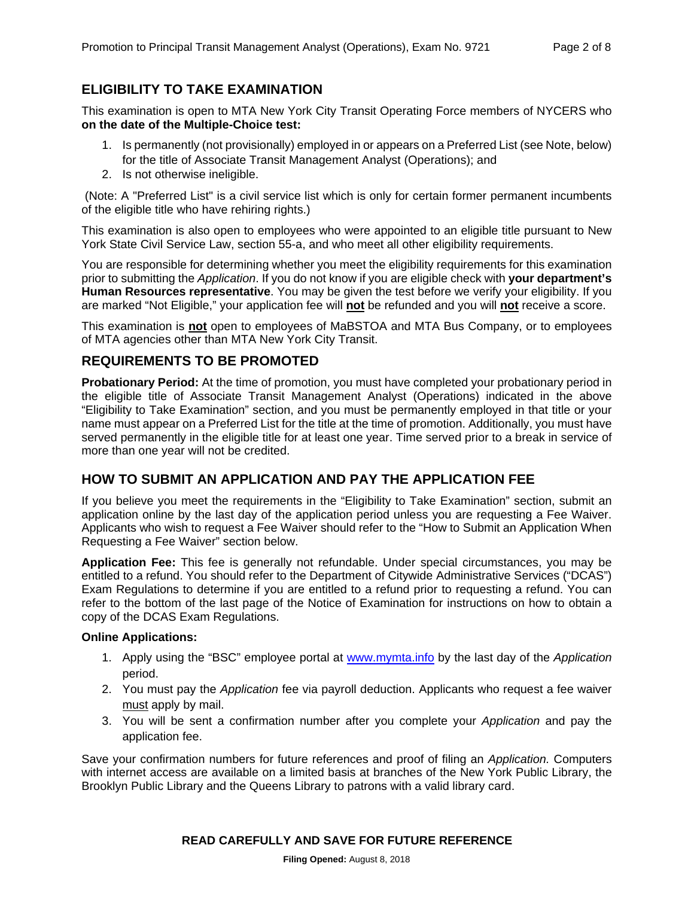# **ELIGIBILITY TO TAKE EXAMINATION**

This examination is open to MTA New York City Transit Operating Force members of NYCERS who **on the date of the Multiple-Choice test:** 

- 1. Is permanently (not provisionally) employed in or appears on a Preferred List (see Note, below) for the title of Associate Transit Management Analyst (Operations); and
- 2. Is not otherwise ineligible.

 (Note: A "Preferred List" is a civil service list which is only for certain former permanent incumbents of the eligible title who have rehiring rights.)

This examination is also open to employees who were appointed to an eligible title pursuant to New York State Civil Service Law, section 55-a, and who meet all other eligibility requirements.

You are responsible for determining whether you meet the eligibility requirements for this examination prior to submitting the *Application*. If you do not know if you are eligible check with **your department's Human Resources representative**. You may be given the test before we verify your eligibility. If you are marked "Not Eligible," your application fee will **not** be refunded and you will **not** receive a score.

This examination is **not** open to employees of MaBSTOA and MTA Bus Company, or to employees of MTA agencies other than MTA New York City Transit.

#### **REQUIREMENTS TO BE PROMOTED**

**Probationary Period:** At the time of promotion, you must have completed your probationary period in the eligible title of Associate Transit Management Analyst (Operations) indicated in the above "Eligibility to Take Examination" section, and you must be permanently employed in that title or your name must appear on a Preferred List for the title at the time of promotion. Additionally, you must have served permanently in the eligible title for at least one year. Time served prior to a break in service of more than one year will not be credited.

#### **HOW TO SUBMIT AN APPLICATION AND PAY THE APPLICATION FEE**

If you believe you meet the requirements in the "Eligibility to Take Examination" section, submit an application online by the last day of the application period unless you are requesting a Fee Waiver. Applicants who wish to request a Fee Waiver should refer to the "How to Submit an Application When Requesting a Fee Waiver" section below.

**Application Fee:** This fee is generally not refundable. Under special circumstances, you may be entitled to a refund. You should refer to the Department of Citywide Administrative Services ("DCAS") Exam Regulations to determine if you are entitled to a refund prior to requesting a refund. You can refer to the bottom of the last page of the Notice of Examination for instructions on how to obtain a copy of the DCAS Exam Regulations.

#### **Online Applications:**

- 1. Apply using the "BSC" employee portal at www.mymta.info by the last day of the *Application*  period.
- 2. You must pay the *Application* fee via payroll deduction. Applicants who request a fee waiver must apply by mail.
- 3. You will be sent a confirmation number after you complete your *Application* and pay the application fee.

Save your confirmation numbers for future references and proof of filing an *Application.* Computers with internet access are available on a limited basis at branches of the New York Public Library, the Brooklyn Public Library and the Queens Library to patrons with a valid library card.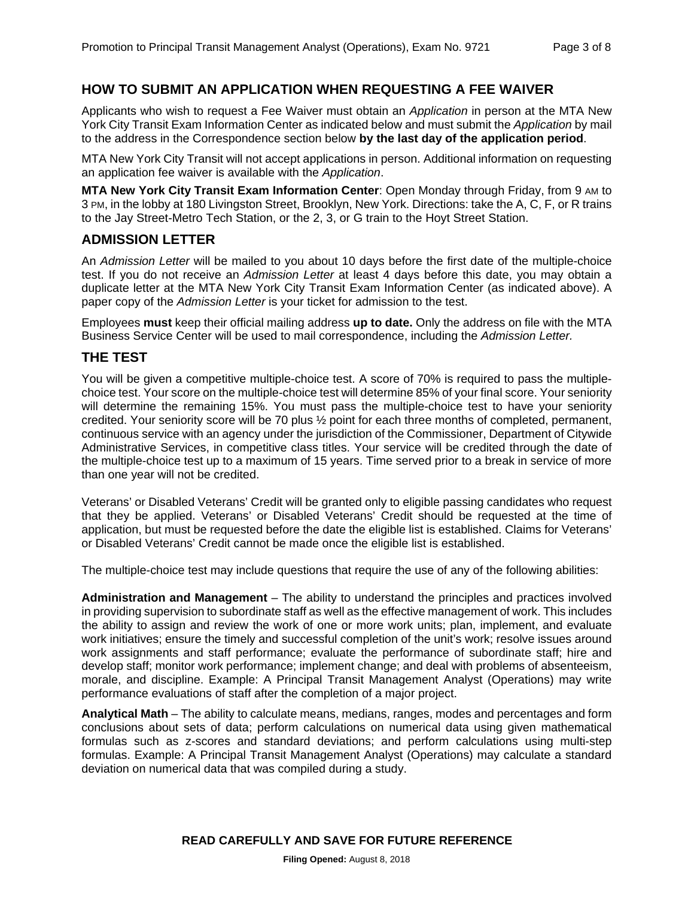#### **HOW TO SUBMIT AN APPLICATION WHEN REQUESTING A FEE WAIVER**

Applicants who wish to request a Fee Waiver must obtain an *Application* in person at the MTA New York City Transit Exam Information Center as indicated below and must submit the *Application* by mail to the address in the Correspondence section below **by the last day of the application period**.

MTA New York City Transit will not accept applications in person. Additional information on requesting an application fee waiver is available with the *Application*.

**MTA New York City Transit Exam Information Center**: Open Monday through Friday, from 9 AM to 3 PM, in the lobby at 180 Livingston Street, Brooklyn, New York. Directions: take the A, C, F, or R trains to the Jay Street-Metro Tech Station, or the 2, 3, or G train to the Hoyt Street Station.

#### **ADMISSION LETTER**

An *Admission Letter* will be mailed to you about 10 days before the first date of the multiple-choice test. If you do not receive an *Admission Letter* at least 4 days before this date, you may obtain a duplicate letter at the MTA New York City Transit Exam Information Center (as indicated above). A paper copy of the *Admission Letter* is your ticket for admission to the test.

Employees **must** keep their official mailing address **up to date.** Only the address on file with the MTA Business Service Center will be used to mail correspondence, including the *Admission Letter.*

#### **THE TEST**

You will be given a competitive multiple-choice test. A score of 70% is required to pass the multiplechoice test. Your score on the multiple-choice test will determine 85% of your final score. Your seniority will determine the remaining 15%. You must pass the multiple-choice test to have your seniority credited. Your seniority score will be 70 plus ½ point for each three months of completed, permanent, continuous service with an agency under the jurisdiction of the Commissioner, Department of Citywide Administrative Services, in competitive class titles. Your service will be credited through the date of the multiple-choice test up to a maximum of 15 years. Time served prior to a break in service of more than one year will not be credited.

Veterans' or Disabled Veterans' Credit will be granted only to eligible passing candidates who request that they be applied. Veterans' or Disabled Veterans' Credit should be requested at the time of application, but must be requested before the date the eligible list is established. Claims for Veterans' or Disabled Veterans' Credit cannot be made once the eligible list is established.

The multiple-choice test may include questions that require the use of any of the following abilities:

**Administration and Management** – The ability to understand the principles and practices involved in providing supervision to subordinate staff as well as the effective management of work. This includes the ability to assign and review the work of one or more work units; plan, implement, and evaluate work initiatives; ensure the timely and successful completion of the unit's work; resolve issues around work assignments and staff performance; evaluate the performance of subordinate staff; hire and develop staff; monitor work performance; implement change; and deal with problems of absenteeism, morale, and discipline. Example: A Principal Transit Management Analyst (Operations) may write performance evaluations of staff after the completion of a major project.

**Analytical Math** – The ability to calculate means, medians, ranges, modes and percentages and form conclusions about sets of data; perform calculations on numerical data using given mathematical formulas such as z-scores and standard deviations; and perform calculations using multi-step formulas. Example: A Principal Transit Management Analyst (Operations) may calculate a standard deviation on numerical data that was compiled during a study.

**READ CAREFULLY AND SAVE FOR FUTURE REFERENCE**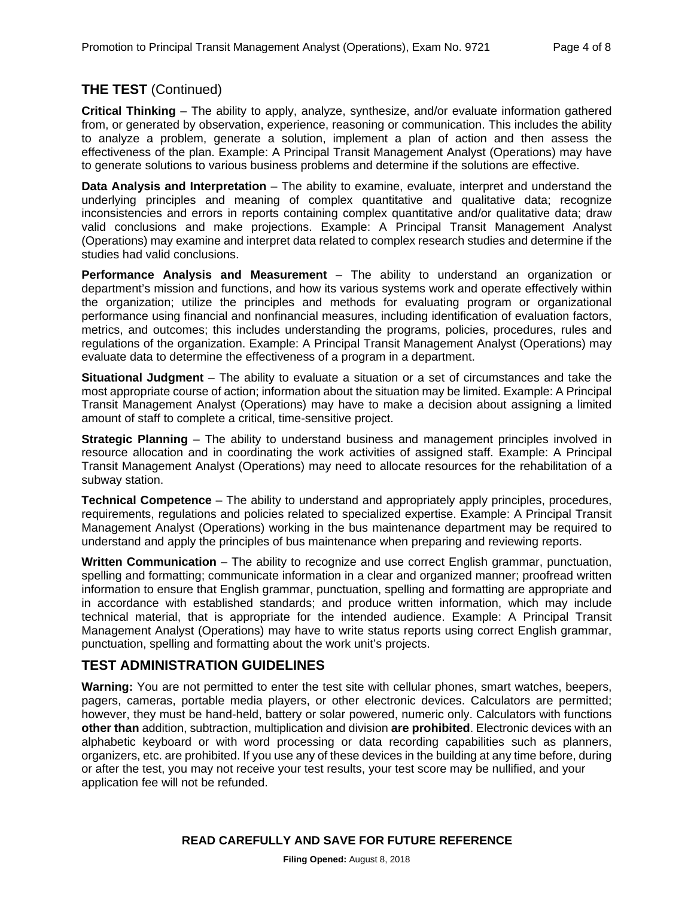#### **THE TEST** (Continued)

**Critical Thinking** – The ability to apply, analyze, synthesize, and/or evaluate information gathered from, or generated by observation, experience, reasoning or communication. This includes the ability to analyze a problem, generate a solution, implement a plan of action and then assess the effectiveness of the plan. Example: A Principal Transit Management Analyst (Operations) may have to generate solutions to various business problems and determine if the solutions are effective.

**Data Analysis and Interpretation** – The ability to examine, evaluate, interpret and understand the underlying principles and meaning of complex quantitative and qualitative data; recognize inconsistencies and errors in reports containing complex quantitative and/or qualitative data; draw valid conclusions and make projections. Example: A Principal Transit Management Analyst (Operations) may examine and interpret data related to complex research studies and determine if the studies had valid conclusions.

**Performance Analysis and Measurement** – The ability to understand an organization or department's mission and functions, and how its various systems work and operate effectively within the organization; utilize the principles and methods for evaluating program or organizational performance using financial and nonfinancial measures, including identification of evaluation factors, metrics, and outcomes; this includes understanding the programs, policies, procedures, rules and regulations of the organization. Example: A Principal Transit Management Analyst (Operations) may evaluate data to determine the effectiveness of a program in a department.

**Situational Judgment** – The ability to evaluate a situation or a set of circumstances and take the most appropriate course of action; information about the situation may be limited. Example: A Principal Transit Management Analyst (Operations) may have to make a decision about assigning a limited amount of staff to complete a critical, time-sensitive project.

**Strategic Planning** – The ability to understand business and management principles involved in resource allocation and in coordinating the work activities of assigned staff. Example: A Principal Transit Management Analyst (Operations) may need to allocate resources for the rehabilitation of a subway station.

**Technical Competence** – The ability to understand and appropriately apply principles, procedures, requirements, regulations and policies related to specialized expertise. Example: A Principal Transit Management Analyst (Operations) working in the bus maintenance department may be required to understand and apply the principles of bus maintenance when preparing and reviewing reports.

**Written Communication** – The ability to recognize and use correct English grammar, punctuation, spelling and formatting; communicate information in a clear and organized manner; proofread written information to ensure that English grammar, punctuation, spelling and formatting are appropriate and in accordance with established standards; and produce written information, which may include technical material, that is appropriate for the intended audience. Example: A Principal Transit Management Analyst (Operations) may have to write status reports using correct English grammar, punctuation, spelling and formatting about the work unit's projects.

#### **TEST ADMINISTRATION GUIDELINES**

**Warning:** You are not permitted to enter the test site with cellular phones, smart watches, beepers, pagers, cameras, portable media players, or other electronic devices. Calculators are permitted; however, they must be hand-held, battery or solar powered, numeric only. Calculators with functions **other than** addition, subtraction, multiplication and division **are prohibited**. Electronic devices with an alphabetic keyboard or with word processing or data recording capabilities such as planners, organizers, etc. are prohibited. If you use any of these devices in the building at any time before, during or after the test, you may not receive your test results, your test score may be nullified, and your application fee will not be refunded.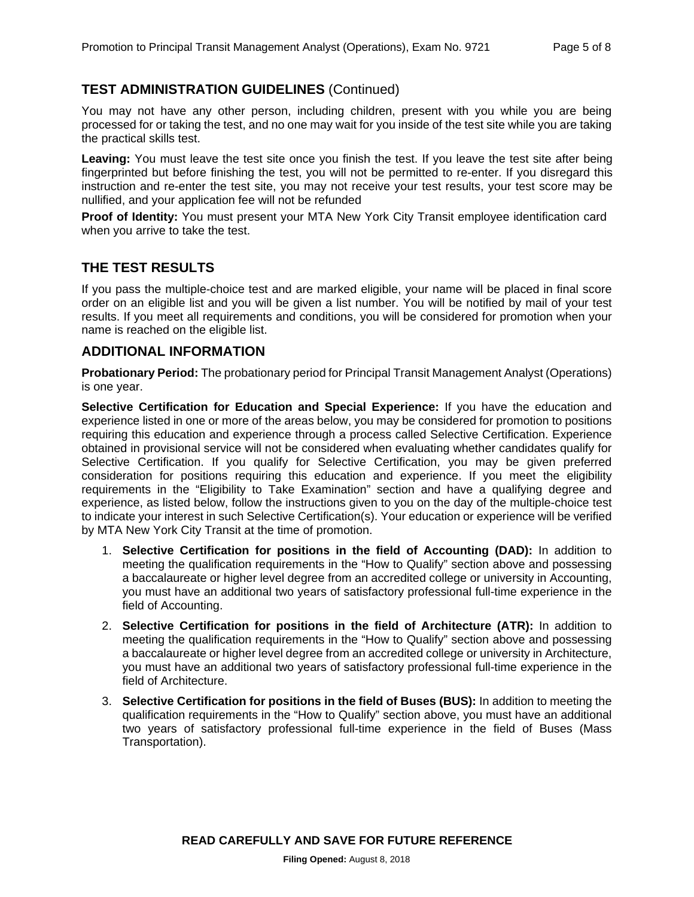#### **TEST ADMINISTRATION GUIDELINES** (Continued)

You may not have any other person, including children, present with you while you are being processed for or taking the test, and no one may wait for you inside of the test site while you are taking the practical skills test.

**Leaving:** You must leave the test site once you finish the test. If you leave the test site after being fingerprinted but before finishing the test, you will not be permitted to re-enter. If you disregard this instruction and re-enter the test site, you may not receive your test results, your test score may be nullified, and your application fee will not be refunded

**Proof of Identity:** You must present your MTA New York City Transit employee identification card when you arrive to take the test.

#### **THE TEST RESULTS**

If you pass the multiple-choice test and are marked eligible, your name will be placed in final score order on an eligible list and you will be given a list number. You will be notified by mail of your test results. If you meet all requirements and conditions, you will be considered for promotion when your name is reached on the eligible list.

#### **ADDITIONAL INFORMATION**

**Probationary Period:** The probationary period for Principal Transit Management Analyst (Operations) is one year.

**Selective Certification for Education and Special Experience:** If you have the education and experience listed in one or more of the areas below, you may be considered for promotion to positions requiring this education and experience through a process called Selective Certification. Experience obtained in provisional service will not be considered when evaluating whether candidates qualify for Selective Certification. If you qualify for Selective Certification, you may be given preferred consideration for positions requiring this education and experience. If you meet the eligibility requirements in the "Eligibility to Take Examination" section and have a qualifying degree and experience, as listed below, follow the instructions given to you on the day of the multiple-choice test to indicate your interest in such Selective Certification(s). Your education or experience will be verified by MTA New York City Transit at the time of promotion.

- 1. **Selective Certification for positions in the field of Accounting (DAD):** In addition to meeting the qualification requirements in the "How to Qualify" section above and possessing a baccalaureate or higher level degree from an accredited college or university in Accounting, you must have an additional two years of satisfactory professional full-time experience in the field of Accounting.
- 2. **Selective Certification for positions in the field of Architecture (ATR):** In addition to meeting the qualification requirements in the "How to Qualify" section above and possessing a baccalaureate or higher level degree from an accredited college or university in Architecture, you must have an additional two years of satisfactory professional full-time experience in the field of Architecture.
- 3. **Selective Certification for positions in the field of Buses (BUS):** In addition to meeting the qualification requirements in the "How to Qualify" section above, you must have an additional two years of satisfactory professional full-time experience in the field of Buses (Mass Transportation).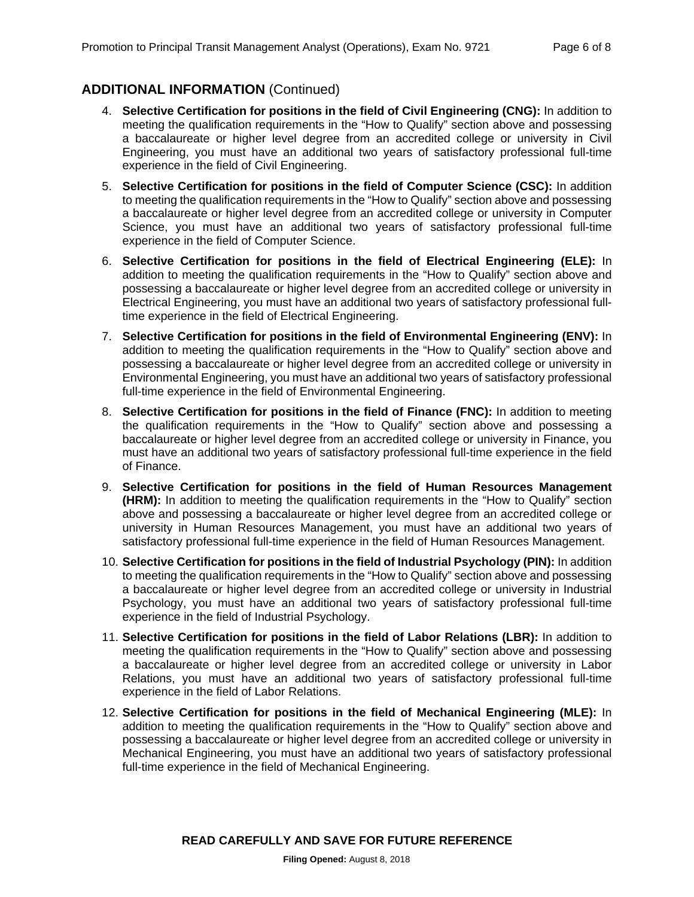# **ADDITIONAL INFORMATION** (Continued)

- 4. **Selective Certification for positions in the field of Civil Engineering (CNG):** In addition to meeting the qualification requirements in the "How to Qualify" section above and possessing a baccalaureate or higher level degree from an accredited college or university in Civil Engineering, you must have an additional two years of satisfactory professional full-time experience in the field of Civil Engineering.
- 5. **Selective Certification for positions in the field of Computer Science (CSC):** In addition to meeting the qualification requirements in the "How to Qualify" section above and possessing a baccalaureate or higher level degree from an accredited college or university in Computer Science, you must have an additional two years of satisfactory professional full-time experience in the field of Computer Science.
- 6. **Selective Certification for positions in the field of Electrical Engineering (ELE):** In addition to meeting the qualification requirements in the "How to Qualify" section above and possessing a baccalaureate or higher level degree from an accredited college or university in Electrical Engineering, you must have an additional two years of satisfactory professional fulltime experience in the field of Electrical Engineering.
- 7. **Selective Certification for positions in the field of Environmental Engineering (ENV):** In addition to meeting the qualification requirements in the "How to Qualify" section above and possessing a baccalaureate or higher level degree from an accredited college or university in Environmental Engineering, you must have an additional two years of satisfactory professional full-time experience in the field of Environmental Engineering.
- 8. **Selective Certification for positions in the field of Finance (FNC):** In addition to meeting the qualification requirements in the "How to Qualify" section above and possessing a baccalaureate or higher level degree from an accredited college or university in Finance, you must have an additional two years of satisfactory professional full-time experience in the field of Finance.
- 9. **Selective Certification for positions in the field of Human Resources Management (HRM):** In addition to meeting the qualification requirements in the "How to Qualify" section above and possessing a baccalaureate or higher level degree from an accredited college or university in Human Resources Management, you must have an additional two years of satisfactory professional full-time experience in the field of Human Resources Management.
- 10. **Selective Certification for positions in the field of Industrial Psychology (PIN):** In addition to meeting the qualification requirements in the "How to Qualify" section above and possessing a baccalaureate or higher level degree from an accredited college or university in Industrial Psychology, you must have an additional two years of satisfactory professional full-time experience in the field of Industrial Psychology.
- 11. **Selective Certification for positions in the field of Labor Relations (LBR):** In addition to meeting the qualification requirements in the "How to Qualify" section above and possessing a baccalaureate or higher level degree from an accredited college or university in Labor Relations, you must have an additional two years of satisfactory professional full-time experience in the field of Labor Relations.
- 12. **Selective Certification for positions in the field of Mechanical Engineering (MLE):** In addition to meeting the qualification requirements in the "How to Qualify" section above and possessing a baccalaureate or higher level degree from an accredited college or university in Mechanical Engineering, you must have an additional two years of satisfactory professional full-time experience in the field of Mechanical Engineering.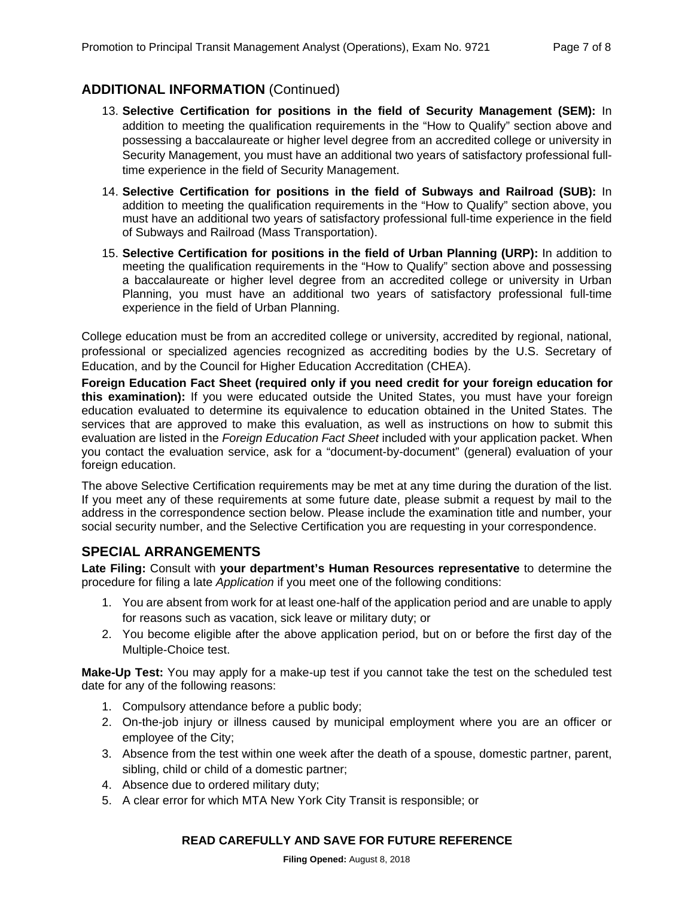# **ADDITIONAL INFORMATION** (Continued)

- 13. **Selective Certification for positions in the field of Security Management (SEM):** In addition to meeting the qualification requirements in the "How to Qualify" section above and possessing a baccalaureate or higher level degree from an accredited college or university in Security Management, you must have an additional two years of satisfactory professional fulltime experience in the field of Security Management.
- 14. **Selective Certification for positions in the field of Subways and Railroad (SUB):** In addition to meeting the qualification requirements in the "How to Qualify" section above, you must have an additional two years of satisfactory professional full-time experience in the field of Subways and Railroad (Mass Transportation).
- 15. **Selective Certification for positions in the field of Urban Planning (URP):** In addition to meeting the qualification requirements in the "How to Qualify" section above and possessing a baccalaureate or higher level degree from an accredited college or university in Urban Planning, you must have an additional two years of satisfactory professional full-time experience in the field of Urban Planning.

College education must be from an accredited college or university, accredited by regional, national, professional or specialized agencies recognized as accrediting bodies by the U.S. Secretary of Education, and by the Council for Higher Education Accreditation (CHEA).

**Foreign Education Fact Sheet (required only if you need credit for your foreign education for this examination):** If you were educated outside the United States, you must have your foreign education evaluated to determine its equivalence to education obtained in the United States. The services that are approved to make this evaluation, as well as instructions on how to submit this evaluation are listed in the *Foreign Education Fact Sheet* included with your application packet. When you contact the evaluation service, ask for a "document-by-document" (general) evaluation of your foreign education.

The above Selective Certification requirements may be met at any time during the duration of the list. If you meet any of these requirements at some future date, please submit a request by mail to the address in the correspondence section below. Please include the examination title and number, your social security number, and the Selective Certification you are requesting in your correspondence.

#### **SPECIAL ARRANGEMENTS**

**Late Filing:** Consult with **your department's Human Resources representative** to determine the procedure for filing a late *Application* if you meet one of the following conditions:

- 1. You are absent from work for at least one-half of the application period and are unable to apply for reasons such as vacation, sick leave or military duty; or
- 2. You become eligible after the above application period, but on or before the first day of the Multiple-Choice test.

**Make-Up Test:** You may apply for a make-up test if you cannot take the test on the scheduled test date for any of the following reasons:

- 1. Compulsory attendance before a public body;
- 2. On-the-job injury or illness caused by municipal employment where you are an officer or employee of the City;
- 3. Absence from the test within one week after the death of a spouse, domestic partner, parent, sibling, child or child of a domestic partner;
- 4. Absence due to ordered military duty;
- 5. A clear error for which MTA New York City Transit is responsible; or

#### **READ CAREFULLY AND SAVE FOR FUTURE REFERENCE**